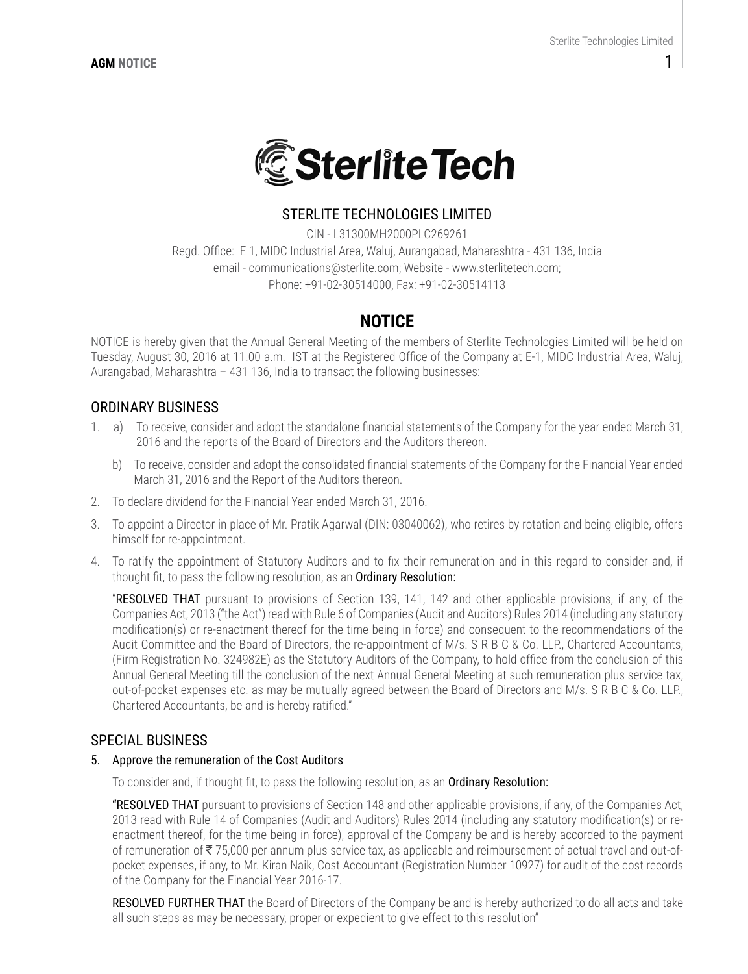

## STERLITE TECHNOLOGIES LIMITED

CIN - L31300MH2000PLC269261 Regd. Office: E 1, MIDC Industrial Area, Waluj, Aurangabad, Maharashtra - 431 136, India email - communications@sterlite.com; Website - www.sterlitetech.com; Phone: +91-02-30514000, Fax: +91-02-30514113

# **NOTICE**

NOTICE is hereby given that the Annual General Meeting of the members of Sterlite Technologies Limited will be held on Tuesday, August 30, 2016 at 11.00 a.m. IST at the Registered Office of the Company at E-1, MIDC Industrial Area, Waluj, Aurangabad, Maharashtra – 431 136, India to transact the following businesses:

## ORDINARY BUSINESS

- 1. a) To receive, consider and adopt the standalone financial statements of the Company for the year ended March 31, 2016 and the reports of the Board of Directors and the Auditors thereon.
	- b) To receive, consider and adopt the consolidated financial statements of the Company for the Financial Year ended March 31, 2016 and the Report of the Auditors thereon.
- 2. To declare dividend for the Financial Year ended March 31, 2016.
- 3. To appoint a Director in place of Mr. Pratik Agarwal (DIN: 03040062), who retires by rotation and being eligible, offers himself for re-appointment.
- 4. To ratify the appointment of Statutory Auditors and to fix their remuneration and in this regard to consider and, if thought fit, to pass the following resolution, as an **Ordinary Resolution:**

"RESOLVED THAT pursuant to provisions of Section 139, 141, 142 and other applicable provisions, if any, of the Companies Act, 2013 ("the Act") read with Rule 6 of Companies (Audit and Auditors) Rules 2014 (including any statutory modification(s) or re-enactment thereof for the time being in force) and consequent to the recommendations of the Audit Committee and the Board of Directors, the re-appointment of M/s. S R B C & Co. LLP., Chartered Accountants, (Firm Registration No. 324982E) as the Statutory Auditors of the Company, to hold office from the conclusion of this Annual General Meeting till the conclusion of the next Annual General Meeting at such remuneration plus service tax, out-of-pocket expenses etc. as may be mutually agreed between the Board of Directors and M/s. S R B C & Co. LLP., Chartered Accountants, be and is hereby ratified."

#### SPECIAL BUSINESS

#### 5. Approve the remuneration of the Cost Auditors

To consider and, if thought fit, to pass the following resolution, as an Ordinary Resolution:

"RESOLVED THAT pursuant to provisions of Section 148 and other applicable provisions, if any, of the Companies Act, 2013 read with Rule 14 of Companies (Audit and Auditors) Rules 2014 (including any statutory modification(s) or reenactment thereof, for the time being in force), approval of the Company be and is hereby accorded to the payment of remuneration of  $\overline{5}$  75,000 per annum plus service tax, as applicable and reimbursement of actual travel and out-ofpocket expenses, if any, to Mr. Kiran Naik, Cost Accountant (Registration Number 10927) for audit of the cost records of the Company for the Financial Year 2016-17.

RESOLVED FURTHER THAT the Board of Directors of the Company be and is hereby authorized to do all acts and take all such steps as may be necessary, proper or expedient to give effect to this resolution"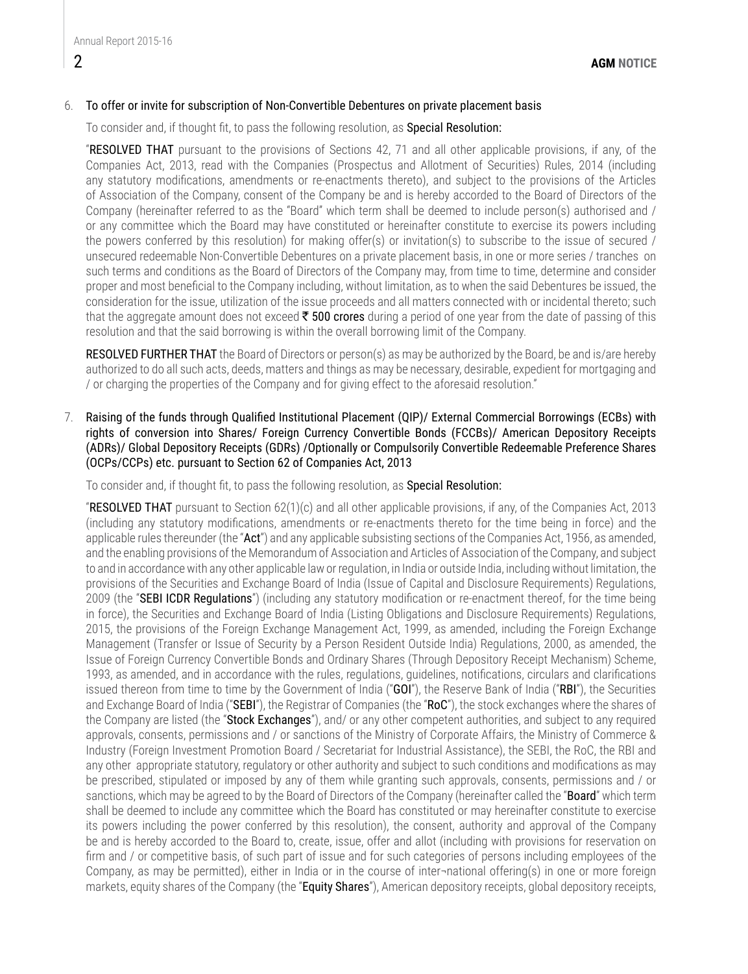#### 6. To offer or invite for subscription of Non-Convertible Debentures on private placement basis

To consider and, if thought fit, to pass the following resolution, as Special Resolution:

"RESOLVED THAT pursuant to the provisions of Sections 42, 71 and all other applicable provisions, if any, of the Companies Act, 2013, read with the Companies (Prospectus and Allotment of Securities) Rules, 2014 (including any statutory modifications, amendments or re-enactments thereto), and subject to the provisions of the Articles of Association of the Company, consent of the Company be and is hereby accorded to the Board of Directors of the Company (hereinafter referred to as the "Board" which term shall be deemed to include person(s) authorised and / or any committee which the Board may have constituted or hereinafter constitute to exercise its powers including the powers conferred by this resolution) for making offer(s) or invitation(s) to subscribe to the issue of secured / unsecured redeemable Non-Convertible Debentures on a private placement basis, in one or more series / tranches on such terms and conditions as the Board of Directors of the Company may, from time to time, determine and consider proper and most beneficial to the Company including, without limitation, as to when the said Debentures be issued, the consideration for the issue, utilization of the issue proceeds and all matters connected with or incidental thereto; such that the aggregate amount does not exceed  $\bar{\tau}$  500 crores during a period of one year from the date of passing of this resolution and that the said borrowing is within the overall borrowing limit of the Company.

RESOLVED FURTHER THAT the Board of Directors or person(s) as may be authorized by the Board, be and is/are hereby authorized to do all such acts, deeds, matters and things as may be necessary, desirable, expedient for mortgaging and / or charging the properties of the Company and for giving effect to the aforesaid resolution."

7. Raising of the funds through Qualified Institutional Placement (QIP)/ External Commercial Borrowings (ECBs) with rights of conversion into Shares/ Foreign Currency Convertible Bonds (FCCBs)/ American Depository Receipts (ADRs)/ Global Depository Receipts (GDRs) /Optionally or Compulsorily Convertible Redeemable Preference Shares (OCPs/CCPs) etc. pursuant to Section 62 of Companies Act, 2013

To consider and, if thought fit, to pass the following resolution, as Special Resolution:

"RESOLVED THAT pursuant to Section 62(1)(c) and all other applicable provisions, if any, of the Companies Act, 2013 (including any statutory modifications, amendments or re-enactments thereto for the time being in force) and the applicable rules thereunder (the "Act") and any applicable subsisting sections of the Companies Act, 1956, as amended, and the enabling provisions of the Memorandum of Association and Articles of Association of the Company, and subject to and in accordance with any other applicable law or regulation, in India or outside India, including without limitation, the provisions of the Securities and Exchange Board of India (Issue of Capital and Disclosure Requirements) Regulations, 2009 (the "SEBI ICDR Requlations") (including any statutory modification or re-enactment thereof, for the time being in force), the Securities and Exchange Board of India (Listing Obligations and Disclosure Requirements) Regulations, 2015, the provisions of the Foreign Exchange Management Act, 1999, as amended, including the Foreign Exchange Management (Transfer or Issue of Security by a Person Resident Outside India) Regulations, 2000, as amended, the Issue of Foreign Currency Convertible Bonds and Ordinary Shares (Through Depository Receipt Mechanism) Scheme, 1993, as amended, and in accordance with the rules, regulations, guidelines, notifications, circulars and clarifications issued thereon from time to time by the Government of India ("GOI"), the Reserve Bank of India ("RBI"), the Securities and Exchange Board of India ("SEBI"), the Registrar of Companies (the "RoC"), the stock exchanges where the shares of the Company are listed (the "Stock Exchanges"), and/ or any other competent authorities, and subject to any required approvals, consents, permissions and / or sanctions of the Ministry of Corporate Affairs, the Ministry of Commerce & Industry (Foreign Investment Promotion Board / Secretariat for Industrial Assistance), the SEBI, the RoC, the RBI and any other appropriate statutory, regulatory or other authority and subject to such conditions and modifications as may be prescribed, stipulated or imposed by any of them while granting such approvals, consents, permissions and / or sanctions, which may be agreed to by the Board of Directors of the Company (hereinafter called the "**Board**" which term shall be deemed to include any committee which the Board has constituted or may hereinafter constitute to exercise its powers including the power conferred by this resolution), the consent, authority and approval of the Company be and is hereby accorded to the Board to, create, issue, offer and allot (including with provisions for reservation on firm and / or competitive basis, of such part of issue and for such categories of persons including employees of the Company, as may be permitted), either in India or in the course of inter¬national offering(s) in one or more foreign markets, equity shares of the Company (the "Equity Shares"), American depository receipts, global depository receipts,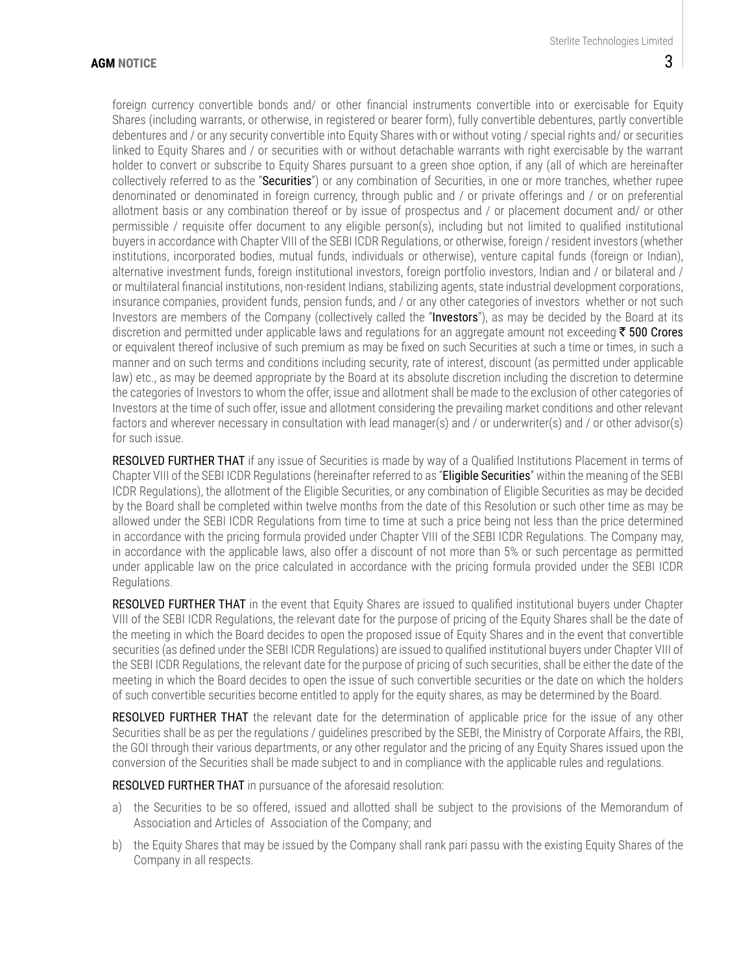foreign currency convertible bonds and/ or other financial instruments convertible into or exercisable for Equity Shares (including warrants, or otherwise, in registered or bearer form), fully convertible debentures, partly convertible debentures and / or any security convertible into Equity Shares with or without voting / special rights and/ or securities linked to Equity Shares and / or securities with or without detachable warrants with right exercisable by the warrant holder to convert or subscribe to Equity Shares pursuant to a green shoe option, if any (all of which are hereinafter collectively referred to as the "Securities") or any combination of Securities, in one or more tranches, whether rupee denominated or denominated in foreign currency, through public and / or private offerings and / or on preferential allotment basis or any combination thereof or by issue of prospectus and / or placement document and/ or other permissible / requisite offer document to any eligible person(s), including but not limited to qualified institutional buyers in accordance with Chapter VIII of the SEBI ICDR Regulations, or otherwise, foreign / resident investors (whether institutions, incorporated bodies, mutual funds, individuals or otherwise), venture capital funds (foreign or Indian), alternative investment funds, foreign institutional investors, foreign portfolio investors, Indian and / or bilateral and / or multilateral financial institutions, non-resident Indians, stabilizing agents, state industrial development corporations, insurance companies, provident funds, pension funds, and / or any other categories of investors whether or not such Investors are members of the Company (collectively called the "Investors"), as may be decided by the Board at its discretion and permitted under applicable laws and regulations for an aggregate amount not exceeding  $\bar{\tau}$  500 Crores or equivalent thereof inclusive of such premium as may be fixed on such Securities at such a time or times, in such a manner and on such terms and conditions including security, rate of interest, discount (as permitted under applicable law) etc., as may be deemed appropriate by the Board at its absolute discretion including the discretion to determine the categories of Investors to whom the offer, issue and allotment shall be made to the exclusion of other categories of Investors at the time of such offer, issue and allotment considering the prevailing market conditions and other relevant factors and wherever necessary in consultation with lead manager(s) and / or underwriter(s) and / or other advisor(s) for such issue.

RESOLVED FURTHER THAT if any issue of Securities is made by way of a Qualified Institutions Placement in terms of Chapter VIII of the SEBI ICDR Regulations (hereinafter referred to as "Eligible Securities" within the meaning of the SEBI ICDR Regulations), the allotment of the Eligible Securities, or any combination of Eligible Securities as may be decided by the Board shall be completed within twelve months from the date of this Resolution or such other time as may be allowed under the SEBI ICDR Regulations from time to time at such a price being not less than the price determined in accordance with the pricing formula provided under Chapter VIII of the SEBI ICDR Regulations. The Company may, in accordance with the applicable laws, also offer a discount of not more than 5% or such percentage as permitted under applicable law on the price calculated in accordance with the pricing formula provided under the SEBI ICDR Regulations.

RESOLVED FURTHER THAT in the event that Equity Shares are issued to qualified institutional buyers under Chapter VIII of the SEBI ICDR Regulations, the relevant date for the purpose of pricing of the Equity Shares shall be the date of the meeting in which the Board decides to open the proposed issue of Equity Shares and in the event that convertible securities (as defined under the SEBI ICDR Regulations) are issued to qualified institutional buyers under Chapter VIII of the SEBI ICDR Regulations, the relevant date for the purpose of pricing of such securities, shall be either the date of the meeting in which the Board decides to open the issue of such convertible securities or the date on which the holders of such convertible securities become entitled to apply for the equity shares, as may be determined by the Board.

RESOLVED FURTHER THAT the relevant date for the determination of applicable price for the issue of any other Securities shall be as per the regulations / guidelines prescribed by the SEBI, the Ministry of Corporate Affairs, the RBI, the GOI through their various departments, or any other regulator and the pricing of any Equity Shares issued upon the conversion of the Securities shall be made subject to and in compliance with the applicable rules and regulations.

RESOLVED FURTHER THAT in pursuance of the aforesaid resolution:

- a) the Securities to be so offered, issued and allotted shall be subject to the provisions of the Memorandum of Association and Articles of Association of the Company; and
- b) the Equity Shares that may be issued by the Company shall rank pari passu with the existing Equity Shares of the Company in all respects.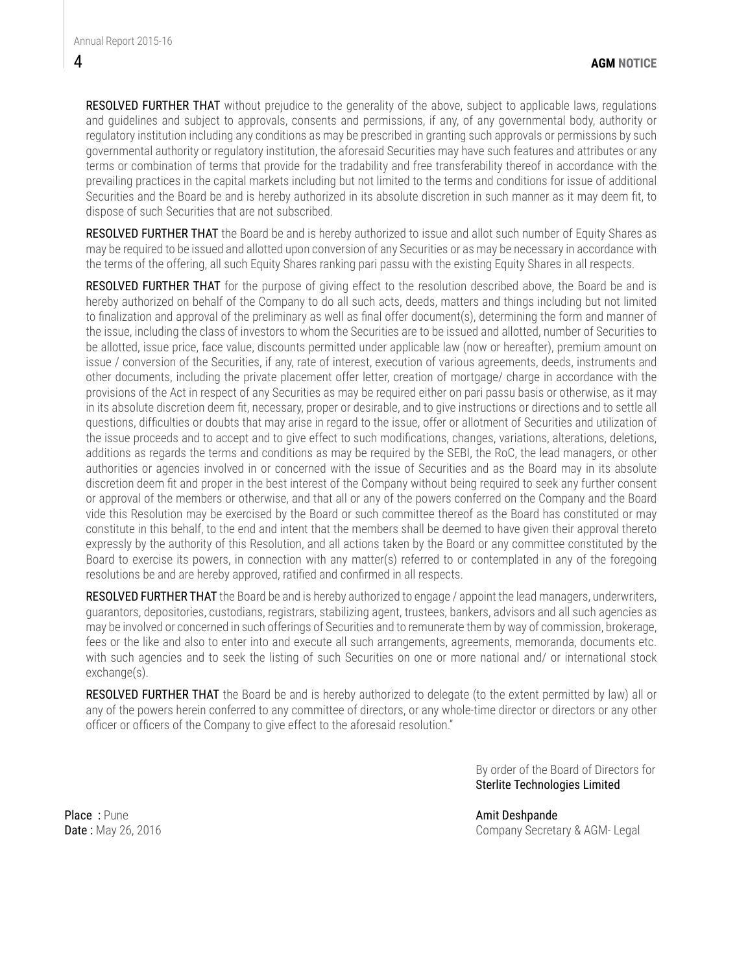RESOLVED FURTHER THAT without prejudice to the generality of the above, subject to applicable laws, regulations and guidelines and subject to approvals, consents and permissions, if any, of any governmental body, authority or regulatory institution including any conditions as may be prescribed in granting such approvals or permissions by such governmental authority or regulatory institution, the aforesaid Securities may have such features and attributes or any terms or combination of terms that provide for the tradability and free transferability thereof in accordance with the prevailing practices in the capital markets including but not limited to the terms and conditions for issue of additional Securities and the Board be and is hereby authorized in its absolute discretion in such manner as it may deem fit, to dispose of such Securities that are not subscribed.

RESOLVED FURTHER THAT the Board be and is hereby authorized to issue and allot such number of Equity Shares as may be required to be issued and allotted upon conversion of any Securities or as may be necessary in accordance with the terms of the offering, all such Equity Shares ranking pari passu with the existing Equity Shares in all respects.

RESOLVED FURTHER THAT for the purpose of giving effect to the resolution described above, the Board be and is hereby authorized on behalf of the Company to do all such acts, deeds, matters and things including but not limited to finalization and approval of the preliminary as well as final offer document(s), determining the form and manner of the issue, including the class of investors to whom the Securities are to be issued and allotted, number of Securities to be allotted, issue price, face value, discounts permitted under applicable law (now or hereafter), premium amount on issue / conversion of the Securities, if any, rate of interest, execution of various agreements, deeds, instruments and other documents, including the private placement offer letter, creation of mortgage/ charge in accordance with the provisions of the Act in respect of any Securities as may be required either on pari passu basis or otherwise, as it may in its absolute discretion deem fit, necessary, proper or desirable, and to give instructions or directions and to settle all questions, difficulties or doubts that may arise in regard to the issue, offer or allotment of Securities and utilization of the issue proceeds and to accept and to give effect to such modifications, changes, variations, alterations, deletions, additions as regards the terms and conditions as may be required by the SEBI, the RoC, the lead managers, or other authorities or agencies involved in or concerned with the issue of Securities and as the Board may in its absolute discretion deem fit and proper in the best interest of the Company without being required to seek any further consent or approval of the members or otherwise, and that all or any of the powers conferred on the Company and the Board vide this Resolution may be exercised by the Board or such committee thereof as the Board has constituted or may constitute in this behalf, to the end and intent that the members shall be deemed to have given their approval thereto expressly by the authority of this Resolution, and all actions taken by the Board or any committee constituted by the Board to exercise its powers, in connection with any matter(s) referred to or contemplated in any of the foregoing resolutions be and are hereby approved, ratified and confirmed in all respects.

RESOLVED FURTHER THAT the Board be and is hereby authorized to engage / appoint the lead managers, underwriters, guarantors, depositories, custodians, registrars, stabilizing agent, trustees, bankers, advisors and all such agencies as may be involved or concerned in such offerings of Securities and to remunerate them by way of commission, brokerage, fees or the like and also to enter into and execute all such arrangements, agreements, memoranda, documents etc. with such agencies and to seek the listing of such Securities on one or more national and/ or international stock exchange(s).

RESOLVED FURTHER THAT the Board be and is hereby authorized to delegate (to the extent permitted by law) all or any of the powers herein conferred to any committee of directors, or any whole-time director or directors or any other officer or officers of the Company to give effect to the aforesaid resolution."

> By order of the Board of Directors for Sterlite Technologies Limited

Place : Pune Amit Deshpande

Date : May 26, 2016 **Date : May 26, 2016** Company Secretary & AGM- Legal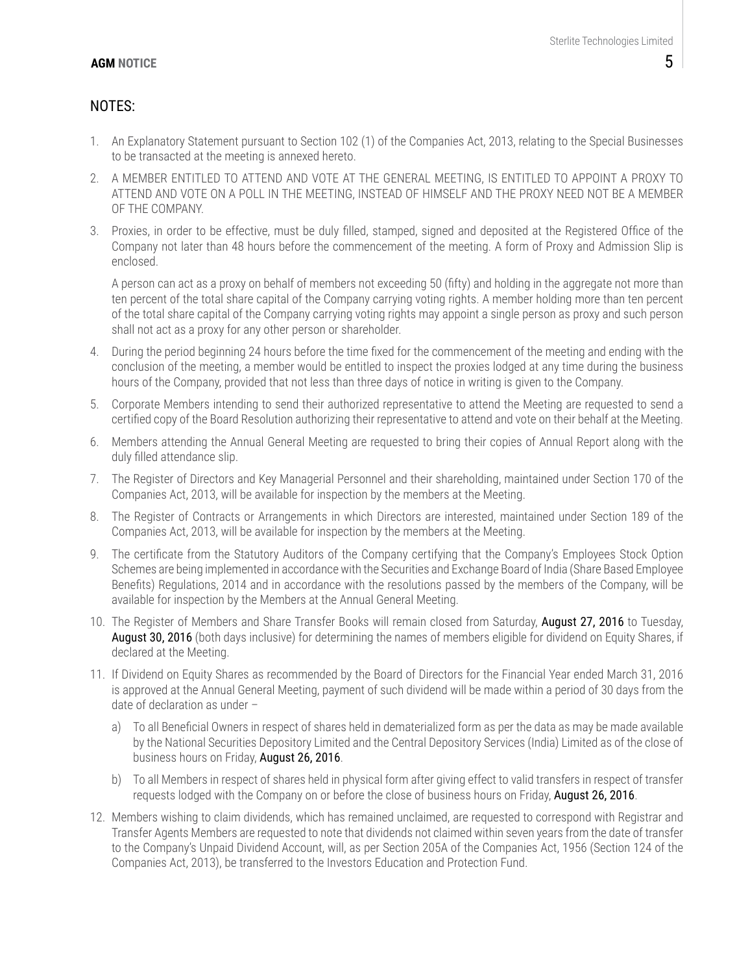## NOTES:

- 1. An Explanatory Statement pursuant to Section 102 (1) of the Companies Act, 2013, relating to the Special Businesses to be transacted at the meeting is annexed hereto.
- 2. A MEMBER ENTITLED TO ATTEND AND VOTE AT THE GENERAL MEETING, IS ENTITLED TO APPOINT A PROXY TO ATTEND AND VOTE ON A POLL IN THE MEETING, INSTEAD OF HIMSELF AND THE PROXY NEED NOT BE A MEMBER OF THE COMPANY.
- 3. Proxies, in order to be effective, must be duly filled, stamped, signed and deposited at the Registered Office of the Company not later than 48 hours before the commencement of the meeting. A form of Proxy and Admission Slip is enclosed.

A person can act as a proxy on behalf of members not exceeding 50 (fifty) and holding in the aggregate not more than ten percent of the total share capital of the Company carrying voting rights. A member holding more than ten percent of the total share capital of the Company carrying voting rights may appoint a single person as proxy and such person shall not act as a proxy for any other person or shareholder.

- 4. During the period beginning 24 hours before the time fixed for the commencement of the meeting and ending with the conclusion of the meeting, a member would be entitled to inspect the proxies lodged at any time during the business hours of the Company, provided that not less than three days of notice in writing is given to the Company.
- 5. Corporate Members intending to send their authorized representative to attend the Meeting are requested to send a certified copy of the Board Resolution authorizing their representative to attend and vote on their behalf at the Meeting.
- 6. Members attending the Annual General Meeting are requested to bring their copies of Annual Report along with the duly filled attendance slip.
- 7. The Register of Directors and Key Managerial Personnel and their shareholding, maintained under Section 170 of the Companies Act, 2013, will be available for inspection by the members at the Meeting.
- 8. The Register of Contracts or Arrangements in which Directors are interested, maintained under Section 189 of the Companies Act, 2013, will be available for inspection by the members at the Meeting.
- 9. The certificate from the Statutory Auditors of the Company certifying that the Company's Employees Stock Option Schemes are being implemented in accordance with the Securities and Exchange Board of India (Share Based Employee Benefits) Regulations, 2014 and in accordance with the resolutions passed by the members of the Company, will be available for inspection by the Members at the Annual General Meeting.
- 10. The Register of Members and Share Transfer Books will remain closed from Saturday, August 27, 2016 to Tuesday, August 30, 2016 (both days inclusive) for determining the names of members eligible for dividend on Equity Shares, if declared at the Meeting.
- 11. If Dividend on Equity Shares as recommended by the Board of Directors for the Financial Year ended March 31, 2016 is approved at the Annual General Meeting, payment of such dividend will be made within a period of 30 days from the date of declaration as under –
	- a) To all Beneficial Owners in respect of shares held in dematerialized form as per the data as may be made available by the National Securities Depository Limited and the Central Depository Services (India) Limited as of the close of business hours on Friday, August 26, 2016.
	- b) To all Members in respect of shares held in physical form after giving effect to valid transfers in respect of transfer requests lodged with the Company on or before the close of business hours on Friday, August 26, 2016.
- 12. Members wishing to claim dividends, which has remained unclaimed, are requested to correspond with Registrar and Transfer Agents Members are requested to note that dividends not claimed within seven years from the date of transfer to the Company's Unpaid Dividend Account, will, as per Section 205A of the Companies Act, 1956 (Section 124 of the Companies Act, 2013), be transferred to the Investors Education and Protection Fund.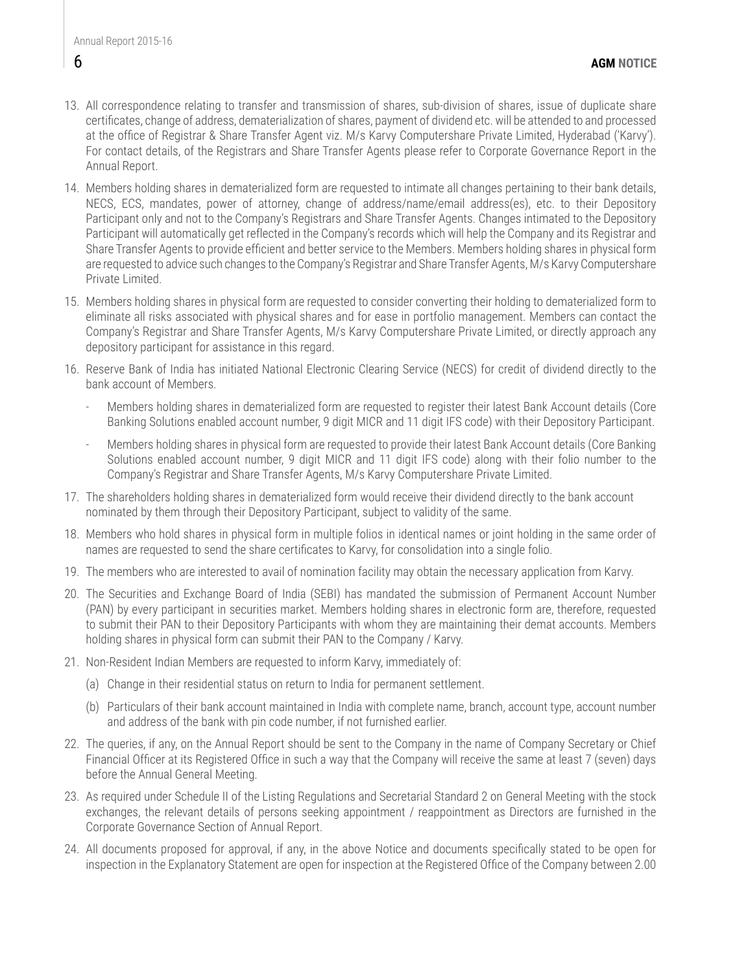- 13. All correspondence relating to transfer and transmission of shares, sub-division of shares, issue of duplicate share certificates, change of address, dematerialization of shares, payment of dividend etc. will be attended to and processed at the office of Registrar & Share Transfer Agent viz. M/s Karvy Computershare Private Limited, Hyderabad ('Karvy'). For contact details, of the Registrars and Share Transfer Agents please refer to Corporate Governance Report in the Annual Report.
- 14. Members holding shares in dematerialized form are requested to intimate all changes pertaining to their bank details, NECS, ECS, mandates, power of attorney, change of address/name/email address(es), etc. to their Depository Participant only and not to the Company's Registrars and Share Transfer Agents. Changes intimated to the Depository Participant will automatically get reflected in the Company's records which will help the Company and its Registrar and Share Transfer Agents to provide efficient and better service to the Members. Members holding shares in physical form are requested to advice such changes to the Company's Registrar and Share Transfer Agents, M/s Karvy Computershare Private Limited.
- 15. Members holding shares in physical form are requested to consider converting their holding to dematerialized form to eliminate all risks associated with physical shares and for ease in portfolio management. Members can contact the Company's Registrar and Share Transfer Agents, M/s Karvy Computershare Private Limited, or directly approach any depository participant for assistance in this regard.
- 16. Reserve Bank of India has initiated National Electronic Clearing Service (NECS) for credit of dividend directly to the bank account of Members.
	- Members holding shares in dematerialized form are requested to register their latest Bank Account details (Core Banking Solutions enabled account number, 9 digit MICR and 11 digit IFS code) with their Depository Participant.
	- Members holding shares in physical form are requested to provide their latest Bank Account details (Core Banking Solutions enabled account number, 9 digit MICR and 11 digit IFS code) along with their folio number to the Company's Registrar and Share Transfer Agents, M/s Karvy Computershare Private Limited.
- 17. The shareholders holding shares in dematerialized form would receive their dividend directly to the bank account nominated by them through their Depository Participant, subject to validity of the same.
- 18. Members who hold shares in physical form in multiple folios in identical names or joint holding in the same order of names are requested to send the share certificates to Karvy, for consolidation into a single folio.
- 19. The members who are interested to avail of nomination facility may obtain the necessary application from Karvy.
- 20. The Securities and Exchange Board of India (SEBI) has mandated the submission of Permanent Account Number (PAN) by every participant in securities market. Members holding shares in electronic form are, therefore, requested to submit their PAN to their Depository Participants with whom they are maintaining their demat accounts. Members holding shares in physical form can submit their PAN to the Company / Karvy.
- 21. Non-Resident Indian Members are requested to inform Karvy, immediately of:
	- (a) Change in their residential status on return to India for permanent settlement.
	- (b) Particulars of their bank account maintained in India with complete name, branch, account type, account number and address of the bank with pin code number, if not furnished earlier.
- 22. The queries, if any, on the Annual Report should be sent to the Company in the name of Company Secretary or Chief Financial Officer at its Registered Office in such a way that the Company will receive the same at least 7 (seven) days before the Annual General Meeting.
- 23. As required under Schedule II of the Listing Regulations and Secretarial Standard 2 on General Meeting with the stock exchanges, the relevant details of persons seeking appointment / reappointment as Directors are furnished in the Corporate Governance Section of Annual Report.
- 24. All documents proposed for approval, if any, in the above Notice and documents specifically stated to be open for inspection in the Explanatory Statement are open for inspection at the Registered Office of the Company between 2.00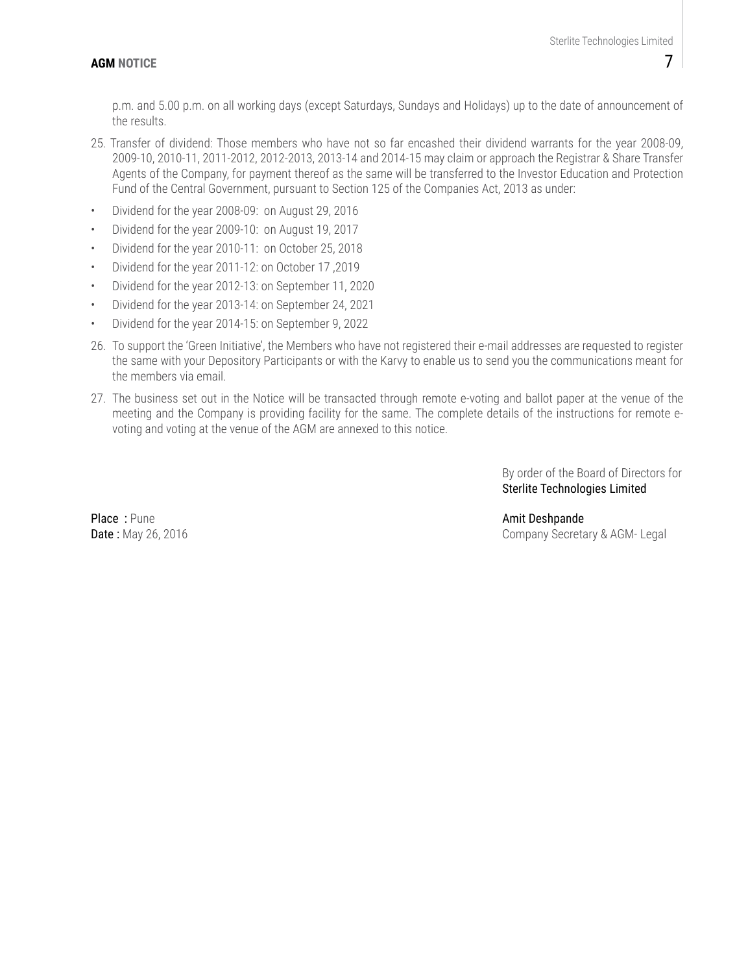p.m. and 5.00 p.m. on all working days (except Saturdays, Sundays and Holidays) up to the date of announcement of the results.

- 25. Transfer of dividend: Those members who have not so far encashed their dividend warrants for the year 2008-09, 2009-10, 2010-11, 2011-2012, 2012-2013, 2013-14 and 2014-15 may claim or approach the Registrar & Share Transfer Agents of the Company, for payment thereof as the same will be transferred to the Investor Education and Protection Fund of the Central Government, pursuant to Section 125 of the Companies Act, 2013 as under:
- Dividend for the year 2008-09: on August 29, 2016
- Dividend for the year 2009-10: on August 19, 2017
- Dividend for the year 2010-11: on October 25, 2018
- Dividend for the year 2011-12: on October 17 ,2019
- Dividend for the year 2012-13: on September 11, 2020
- Dividend for the year 2013-14: on September 24, 2021
- Dividend for the year 2014-15: on September 9, 2022
- 26. To support the 'Green Initiative', the Members who have not registered their e-mail addresses are requested to register the same with your Depository Participants or with the Karvy to enable us to send you the communications meant for the members via email.
- 27. The business set out in the Notice will be transacted through remote e-voting and ballot paper at the venue of the meeting and the Company is providing facility for the same. The complete details of the instructions for remote evoting and voting at the venue of the AGM are annexed to this notice.

By order of the Board of Directors for Sterlite Technologies Limited

Place : Pune Amit Deshpande

Date : May 26, 2016 **Date : May 26, 2016** Company Secretary & AGM- Legal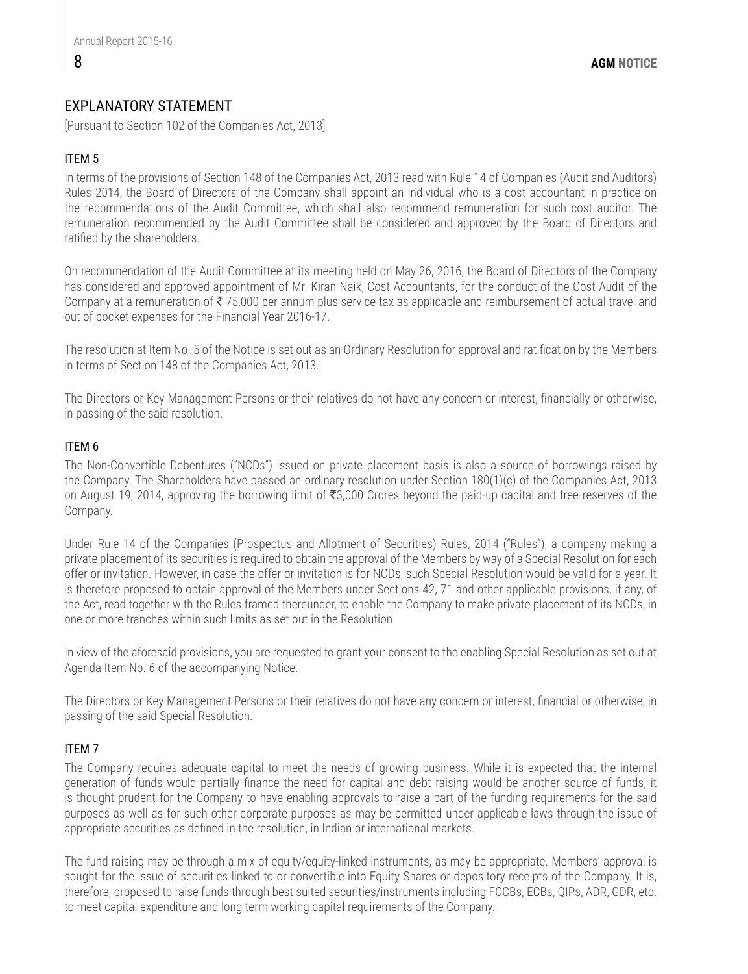## EXPLANATORY STATEMENT

[Pursuant to Section 102 of the Companies Act, 2013]

### ITEM 5

In terms of the provisions of Section 148 of the Companies Act, 2013 read with Rule 14 of Companies (Audit and Auditors) Rules 2014, the Board of Directors of the Company shall appoint an individual who is a cost accountant in practice on the recommendations of the Audit Committee, which shall also recommend remuneration for such cost auditor. The remuneration recommended by the Audit Committee shall be considered and approved by the Board of Directors and ratified by the shareholders.

On recommendation of the Audit Committee at its meeting held on May 26, 2016, the Board of Directors of the Company has considered and approved appointment of Mr. Kiran Naik, Cost Accountants, for the conduct of the Cost Audit of the Company at a remuneration of  $\overline{\xi}$  75,000 per annum plus service tax as applicable and reimbursement of actual travel and out of pocket expenses for the Financial Year 2016-17.

The resolution at Item No. 5 of the Notice is set out as an Ordinary Resolution for approval and ratification by the Members in terms of Section 148 of the Companies Act, 2013.

The Directors or Key Management Persons or their relatives do not have any concern or interest, financially or otherwise, in passing of the said resolution.

#### ITEM 6

The Non-Convertible Debentures ("NCDs") issued on private placement basis is also a source of borrowings raised by the Company. The Shareholders have passed an ordinary resolution under Section 180(1)(c) of the Companies Act, 2013 on August 19, 2014, approving the borrowing limit of  $\overline{3,000}$  Crores beyond the paid-up capital and free reserves of the Company.

Under Rule 14 of the Companies (Prospectus and Allotment of Securities) Rules, 2014 ("Rules"), a company making a private placement of its securities is required to obtain the approval of the Members by way of a Special Resolution for each offer or invitation. However, in case the offer or invitation is for NCDs, such Special Resolution would be valid for a year. It is therefore proposed to obtain approval of the Members under Sections 42, 71 and other applicable provisions, if any, of the Act, read together with the Rules framed thereunder, to enable the Company to make private placement of its NCDs, in one or more tranches within such limits as set out in the Resolution.

In view of the aforesaid provisions, you are requested to grant your consent to the enabling Special Resolution as set out at Agenda Item No. 6 of the accompanying Notice.

The Directors or Key Management Persons or their relatives do not have any concern or interest, financial or otherwise, in passing of the said Special Resolution.

#### ITEM 7

The Company requires adequate capital to meet the needs of growing business. While it is expected that the internal generation of funds would partially finance the need for capital and debt raising would be another source of funds, it is thought prudent for the Company to have enabling approvals to raise a part of the funding requirements for the said purposes as well as for such other corporate purposes as may be permitted under applicable laws through the issue of appropriate securities as defined in the resolution, in Indian or international markets.

The fund raising may be through a mix of equity/equity-linked instruments, as may be appropriate. Members' approval is sought for the issue of securities linked to or convertible into Equity Shares or depository receipts of the Company. It is, therefore, proposed to raise funds through best suited securities/instruments including FCCBs, ECBs, QIPs, ADR, GDR, etc. to meet capital expenditure and long term working capital requirements of the Company.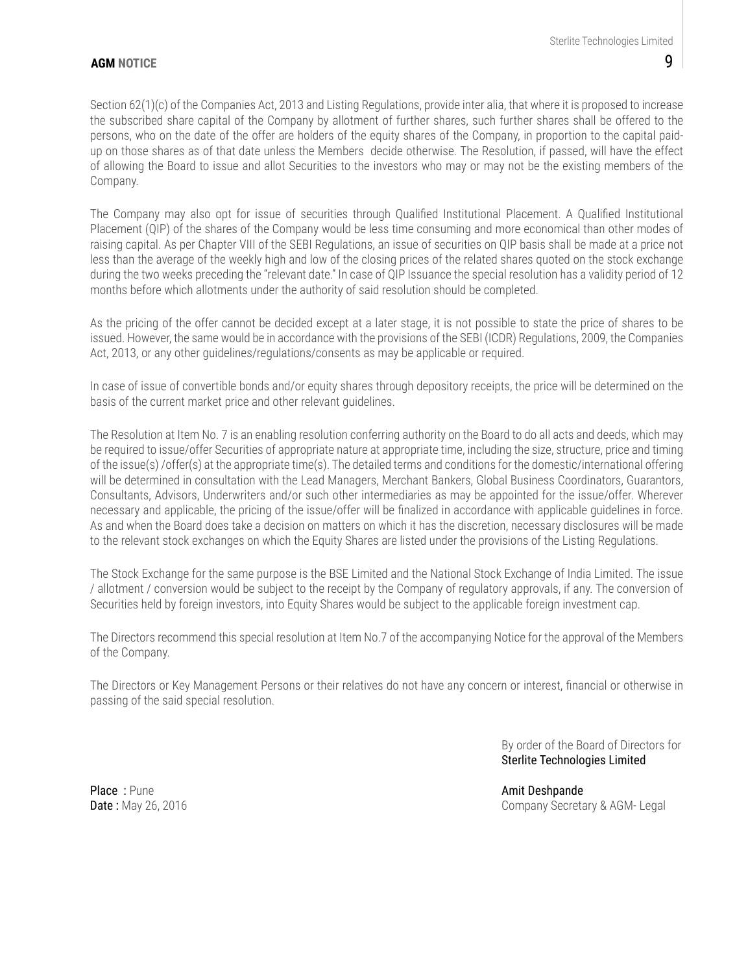#### **AGM NOTICE**

Section 62(1)(c) of the Companies Act, 2013 and Listing Regulations, provide inter alia, that where it is proposed to increase the subscribed share capital of the Company by allotment of further shares, such further shares shall be offered to the persons, who on the date of the offer are holders of the equity shares of the Company, in proportion to the capital paidup on those shares as of that date unless the Members decide otherwise. The Resolution, if passed, will have the effect of allowing the Board to issue and allot Securities to the investors who may or may not be the existing members of the Company.

The Company may also opt for issue of securities through Qualified Institutional Placement. A Qualified Institutional Placement (QIP) of the shares of the Company would be less time consuming and more economical than other modes of raising capital. As per Chapter VIII of the SEBI Regulations, an issue of securities on QIP basis shall be made at a price not less than the average of the weekly high and low of the closing prices of the related shares quoted on the stock exchange during the two weeks preceding the "relevant date." In case of QIP Issuance the special resolution has a validity period of 12 months before which allotments under the authority of said resolution should be completed.

As the pricing of the offer cannot be decided except at a later stage, it is not possible to state the price of shares to be issued. However, the same would be in accordance with the provisions of the SEBI (ICDR) Regulations, 2009, the Companies Act, 2013, or any other guidelines/regulations/consents as may be applicable or required.

In case of issue of convertible bonds and/or equity shares through depository receipts, the price will be determined on the basis of the current market price and other relevant guidelines.

The Resolution at Item No. 7 is an enabling resolution conferring authority on the Board to do all acts and deeds, which may be required to issue/offer Securities of appropriate nature at appropriate time, including the size, structure, price and timing of the issue(s) /offer(s) at the appropriate time(s). The detailed terms and conditions for the domestic/international offering will be determined in consultation with the Lead Managers, Merchant Bankers, Global Business Coordinators, Guarantors, Consultants, Advisors, Underwriters and/or such other intermediaries as may be appointed for the issue/offer. Wherever necessary and applicable, the pricing of the issue/offer will be finalized in accordance with applicable guidelines in force. As and when the Board does take a decision on matters on which it has the discretion, necessary disclosures will be made to the relevant stock exchanges on which the Equity Shares are listed under the provisions of the Listing Regulations.

The Stock Exchange for the same purpose is the BSE Limited and the National Stock Exchange of India Limited. The issue / allotment / conversion would be subject to the receipt by the Company of regulatory approvals, if any. The conversion of Securities held by foreign investors, into Equity Shares would be subject to the applicable foreign investment cap.

The Directors recommend this special resolution at Item No.7 of the accompanying Notice for the approval of the Members of the Company.

The Directors or Key Management Persons or their relatives do not have any concern or interest, financial or otherwise in passing of the said special resolution.

> By order of the Board of Directors for Sterlite Technologies Limited

Place : Pune Amit Deshpande

Date : May 26, 2016 **Date : May 26, 2016** Company Secretary & AGM- Legal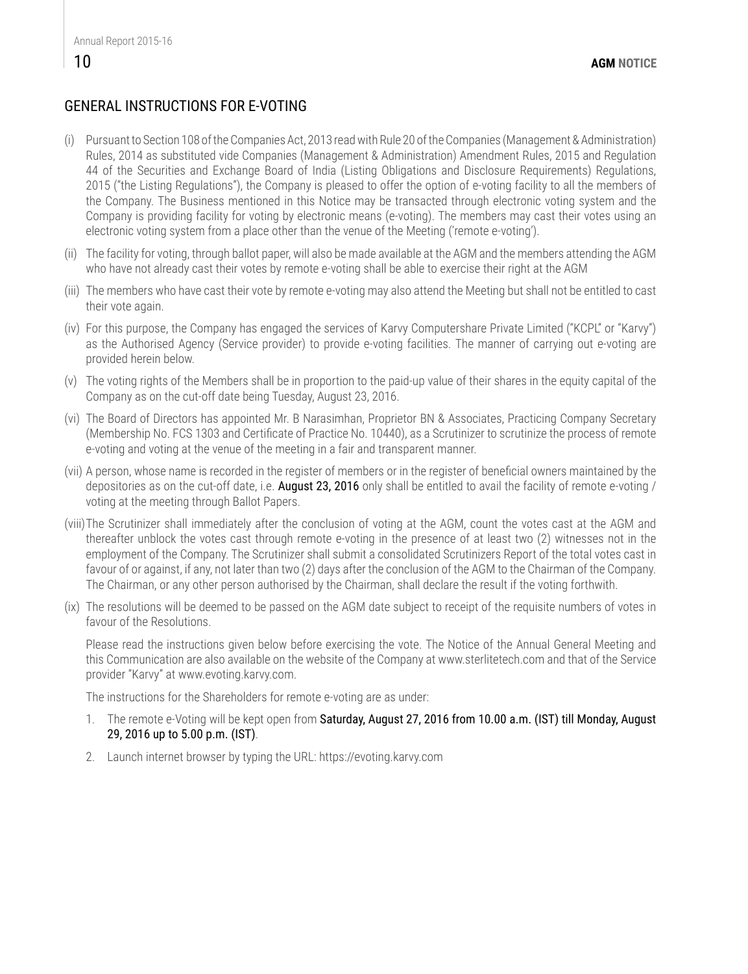## GENERAL INSTRUCTIONS FOR E-VOTING

- (i) Pursuant to Section 108 of the Companies Act, 2013 read with Rule 20 of the Companies (Management & Administration) Rules, 2014 as substituted vide Companies (Management & Administration) Amendment Rules, 2015 and Regulation 44 of the Securities and Exchange Board of India (Listing Obligations and Disclosure Requirements) Regulations, 2015 ("the Listing Regulations"), the Company is pleased to offer the option of e-voting facility to all the members of the Company. The Business mentioned in this Notice may be transacted through electronic voting system and the Company is providing facility for voting by electronic means (e-voting). The members may cast their votes using an electronic voting system from a place other than the venue of the Meeting ('remote e-voting').
- (ii) The facility for voting, through ballot paper, will also be made available at the AGM and the members attending the AGM who have not already cast their votes by remote e-voting shall be able to exercise their right at the AGM
- (iii) The members who have cast their vote by remote e-voting may also attend the Meeting but shall not be entitled to cast their vote again.
- (iv) For this purpose, the Company has engaged the services of Karvy Computershare Private Limited ("KCPL" or "Karvy") as the Authorised Agency (Service provider) to provide e-voting facilities. The manner of carrying out e-voting are provided herein below.
- (v) The voting rights of the Members shall be in proportion to the paid-up value of their shares in the equity capital of the Company as on the cut-off date being Tuesday, August 23, 2016.
- (vi) The Board of Directors has appointed Mr. B Narasimhan, Proprietor BN & Associates, Practicing Company Secretary (Membership No. FCS 1303 and Certificate of Practice No. 10440), as a Scrutinizer to scrutinize the process of remote e-voting and voting at the venue of the meeting in a fair and transparent manner.
- (vii) A person, whose name is recorded in the register of members or in the register of beneficial owners maintained by the depositories as on the cut-off date, i.e. **August 23, 2016** only shall be entitled to avail the facility of remote e-voting / voting at the meeting through Ballot Papers.
- (viii)The Scrutinizer shall immediately after the conclusion of voting at the AGM, count the votes cast at the AGM and thereafter unblock the votes cast through remote e-voting in the presence of at least two (2) witnesses not in the employment of the Company. The Scrutinizer shall submit a consolidated Scrutinizers Report of the total votes cast in favour of or against, if any, not later than two (2) days after the conclusion of the AGM to the Chairman of the Company. The Chairman, or any other person authorised by the Chairman, shall declare the result if the voting forthwith.
- (ix) The resolutions will be deemed to be passed on the AGM date subject to receipt of the requisite numbers of votes in favour of the Resolutions.

Please read the instructions given below before exercising the vote. The Notice of the Annual General Meeting and this Communication are also available on the website of the Company at www.sterlitetech.com and that of the Service provider "Karvy" at www.evoting.karvy.com.

The instructions for the Shareholders for remote e-voting are as under:

- 1. The remote e-Voting will be kept open from Saturday, August 27, 2016 from 10.00 a.m. (IST) till Monday, August 29, 2016 up to 5.00 p.m. (IST).
- 2. Launch internet browser by typing the URL: https://evoting.karvy.com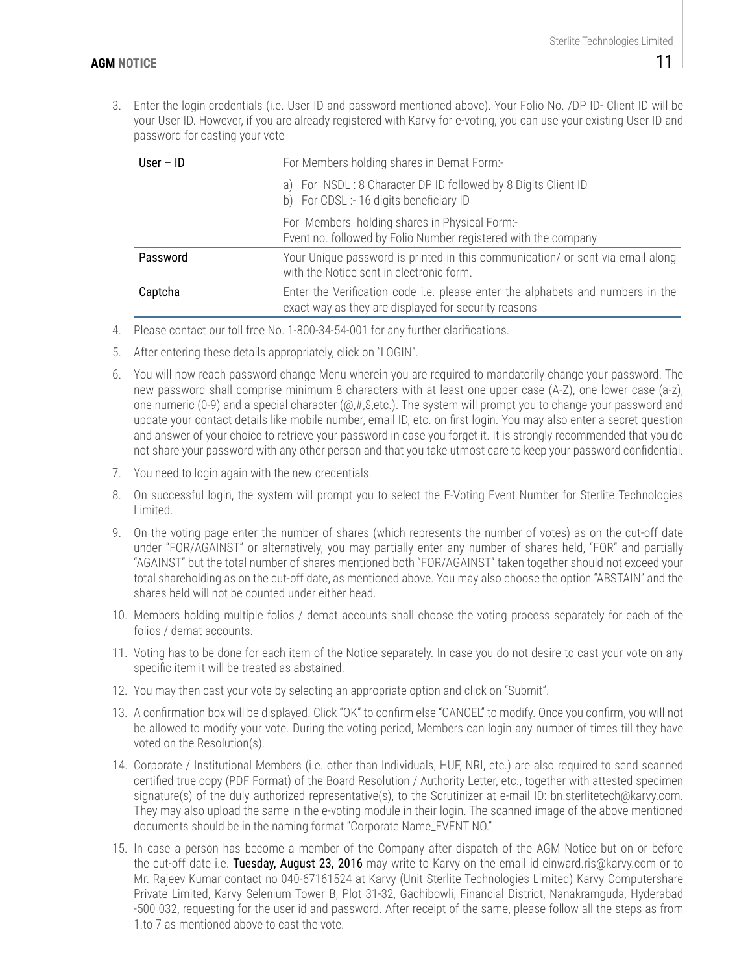3. Enter the login credentials (i.e. User ID and password mentioned above). Your Folio No. /DP ID- Client ID will be your User ID. However, if you are already registered with Karvy for e-voting, you can use your existing User ID and password for casting your vote

| User $-$ ID | For Members holding shares in Demat Form:-                                                                                             |  |  |  |  |  |  |  |
|-------------|----------------------------------------------------------------------------------------------------------------------------------------|--|--|--|--|--|--|--|
|             | a) For NSDL: 8 Character DP ID followed by 8 Digits Client ID<br>b) For CDSL :- 16 digits beneficiary ID                               |  |  |  |  |  |  |  |
|             | For Members holding shares in Physical Form:-<br>Event no. followed by Folio Number registered with the company                        |  |  |  |  |  |  |  |
| Password    | Your Unique password is printed in this communication/ or sent via email along<br>with the Notice sent in electronic form.             |  |  |  |  |  |  |  |
| Captcha     | Enter the Verification code i.e. please enter the alphabets and numbers in the<br>exact way as they are displayed for security reasons |  |  |  |  |  |  |  |

- 4. Please contact our toll free No. 1-800-34-54-001 for any further clarifications.
- 5. After entering these details appropriately, click on "LOGIN".
- 6. You will now reach password change Menu wherein you are required to mandatorily change your password. The new password shall comprise minimum 8 characters with at least one upper case (A-Z), one lower case (a-z), one numeric (0-9) and a special character (@,#,\$,etc.). The system will prompt you to change your password and update your contact details like mobile number, email ID, etc. on first login. You may also enter a secret question and answer of your choice to retrieve your password in case you forget it. It is strongly recommended that you do not share your password with any other person and that you take utmost care to keep your password confidential.
- 7. You need to login again with the new credentials.
- 8. On successful login, the system will prompt you to select the E-Voting Event Number for Sterlite Technologies Limited.
- 9. On the voting page enter the number of shares (which represents the number of votes) as on the cut-off date under "FOR/AGAINST" or alternatively, you may partially enter any number of shares held, "FOR" and partially "AGAINST" but the total number of shares mentioned both "FOR/AGAINST" taken together should not exceed your total shareholding as on the cut-off date, as mentioned above. You may also choose the option "ABSTAIN" and the shares held will not be counted under either head.
- 10. Members holding multiple folios / demat accounts shall choose the voting process separately for each of the folios / demat accounts.
- 11. Voting has to be done for each item of the Notice separately. In case you do not desire to cast your vote on any specific item it will be treated as abstained.
- 12. You may then cast your vote by selecting an appropriate option and click on "Submit".
- 13. A confirmation box will be displayed. Click "OK" to confirm else "CANCEL" to modify. Once you confirm, you will not be allowed to modify your vote. During the voting period, Members can login any number of times till they have voted on the Resolution(s).
- 14. Corporate / Institutional Members (i.e. other than Individuals, HUF, NRI, etc.) are also required to send scanned certified true copy (PDF Format) of the Board Resolution / Authority Letter, etc., together with attested specimen signature(s) of the duly authorized representative(s), to the Scrutinizer at e-mail ID: bn.sterlitetech@karvy.com. They may also upload the same in the e-voting module in their login. The scanned image of the above mentioned documents should be in the naming format "Corporate Name\_EVENT NO."
- 15. In case a person has become a member of the Company after dispatch of the AGM Notice but on or before the cut-off date i.e. Tuesday, August 23, 2016 may write to Karvy on the email id einward.ris@karvy.com or to Mr. Rajeev Kumar contact no 040-67161524 at Karvy (Unit Sterlite Technologies Limited) Karvy Computershare Private Limited, Karvy Selenium Tower B, Plot 31-32, Gachibowli, Financial District, Nanakramguda, Hyderabad -500 032, requesting for the user id and password. After receipt of the same, please follow all the steps as from 1.to 7 as mentioned above to cast the vote.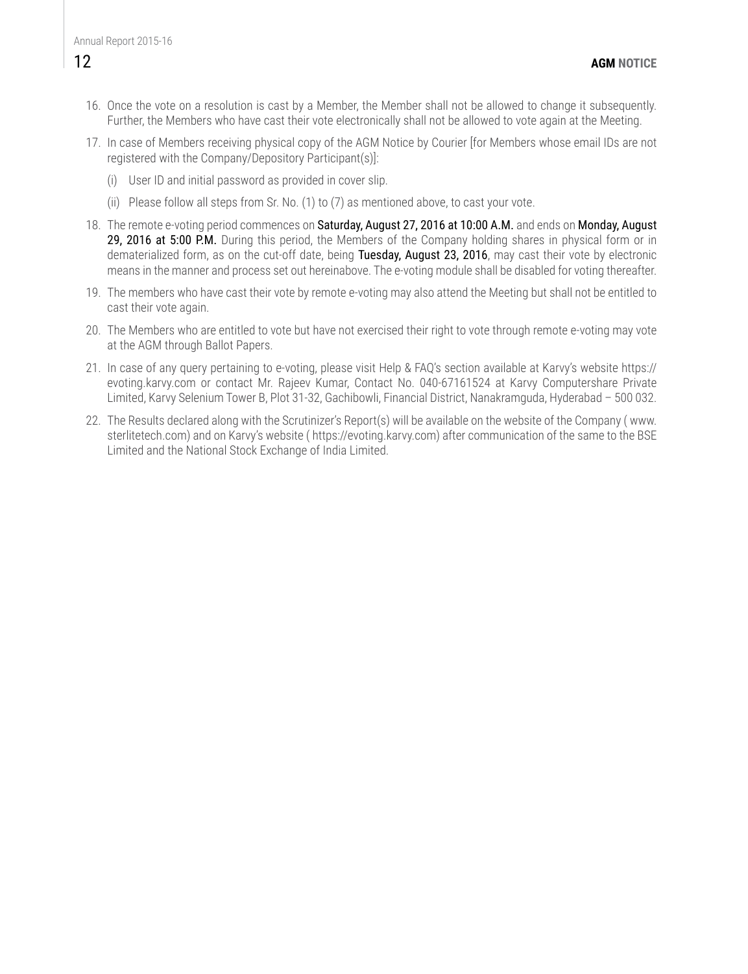- 16. Once the vote on a resolution is cast by a Member, the Member shall not be allowed to change it subsequently. Further, the Members who have cast their vote electronically shall not be allowed to vote again at the Meeting.
- 17. In case of Members receiving physical copy of the AGM Notice by Courier [for Members whose email IDs are not registered with the Company/Depository Participant(s)]:
	- (i) User ID and initial password as provided in cover slip.
	- (ii) Please follow all steps from Sr. No. (1) to (7) as mentioned above, to cast your vote.
- 18. The remote e-voting period commences on Saturday, August 27, 2016 at 10:00 A.M. and ends on Monday, August 29, 2016 at 5:00 P.M. During this period, the Members of the Company holding shares in physical form or in dematerialized form, as on the cut-off date, being Tuesday, August 23, 2016, may cast their vote by electronic means in the manner and process set out hereinabove. The e-voting module shall be disabled for voting thereafter.
- 19. The members who have cast their vote by remote e-voting may also attend the Meeting but shall not be entitled to cast their vote again.
- 20. The Members who are entitled to vote but have not exercised their right to vote through remote e-voting may vote at the AGM through Ballot Papers.
- 21. In case of any query pertaining to e-voting, please visit Help & FAQ's section available at Karvy's website https:// evoting.karvy.com or contact Mr. Rajeev Kumar, Contact No. 040-67161524 at Karvy Computershare Private Limited, Karvy Selenium Tower B, Plot 31-32, Gachibowli, Financial District, Nanakramguda, Hyderabad – 500 032.
- 22. The Results declared along with the Scrutinizer's Report(s) will be available on the website of the Company ( www. sterlitetech.com) and on Karvy's website ( https://evoting.karvy.com) after communication of the same to the BSE Limited and the National Stock Exchange of India Limited.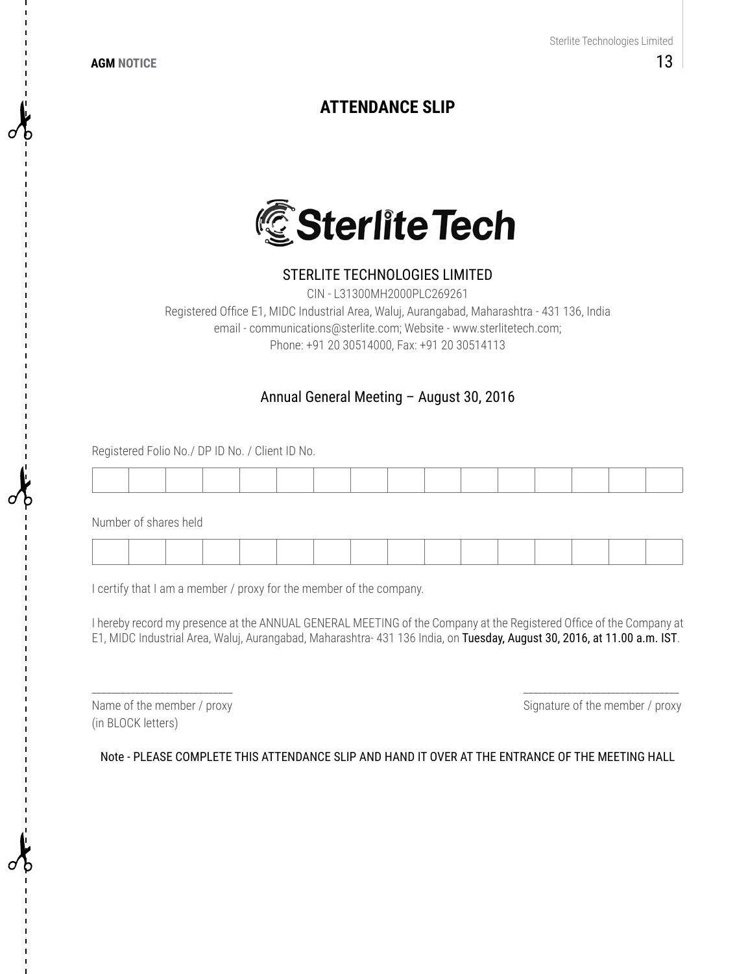**AGM NOTICE**

# **ATTENDANCE SLIP**



## STERLITE TECHNOLOGIES LIMITED

CIN - L31300MH2000PLC269261 Registered Office E1, MIDC Industrial Area, Waluj, Aurangabad, Maharashtra - 431 136, India email - communications@sterlite.com; Website - www.sterlitetech.com; Phone: +91 20 30514000, Fax: +91 20 30514113

### Annual General Meeting – August 30, 2016

Registered Folio No./ DP ID No. / Client ID No.

Number of shares held

I certify that I am a member / proxy for the member of the company.

I hereby record my presence at the ANNUAL GENERAL MEETING of the Company at the Registered Office of the Company at E1, MIDC Industrial Area, Waluj, Aurangabad, Maharashtra- 431 136 India, on Tuesday, August 30, 2016, at 11.00 a.m. IST.

\_\_\_\_\_\_\_\_\_\_\_\_\_\_\_\_\_\_\_\_\_\_\_\_\_\_\_\_\_ \_\_\_\_\_\_\_\_\_\_\_\_\_\_\_\_\_\_\_\_\_\_\_\_\_\_\_\_\_\_\_\_

(in BLOCK letters)

Name of the member / proxy state of the member / proxy Signature of the member / proxy

Note - PLEASE COMPLETE THIS ATTENDANCE SLIP AND HAND IT OVER AT THE ENTRANCE OF THE MEETING HALL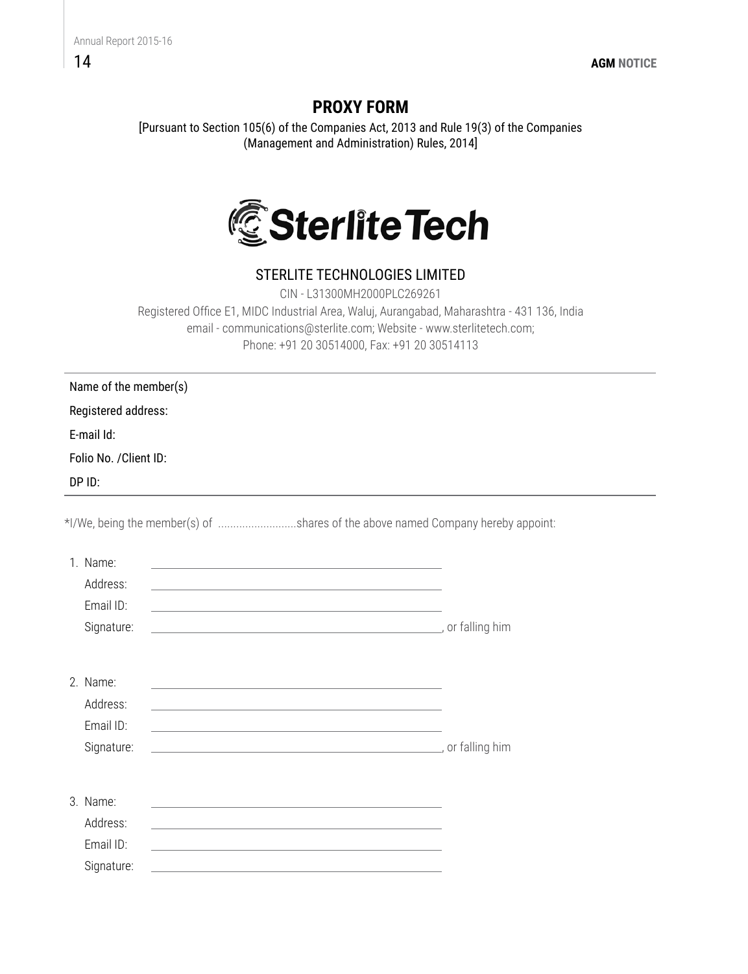## 14

# **PROXY FORM**

[Pursuant to Section 105(6) of the Companies Act, 2013 and Rule 19(3) of the Companies (Management and Administration) Rules, 2014]



# STERLITE TECHNOLOGIES LIMITED

CIN - L31300MH2000PLC269261 Registered Office E1, MIDC Industrial Area, Waluj, Aurangabad, Maharashtra - 431 136, India email - communications@sterlite.com; Website - www.sterlitetech.com; Phone: +91 20 30514000, Fax: +91 20 30514113

Name of the member(s)

Registered address:

E-mail Id:

Folio No. /Client ID:

DP ID:

\*I/We, being the member(s) of ..........................shares of the above named Company hereby appoint:

| 1. Name:<br>Address:<br>Email $ID:$<br>Signature: | and the control of the control of the control of the control of the control of the control of the control of the<br>the control of the control of the control of the control of the control of the control of the control of the control of the control of the control of the control of the control of the control of the control of the control<br><u>state and the state of the state of the state of the state of the state of the state of the state of the state of the state of the state of the state of the state of the state of the state of the state of the state of the</u> | or falling him |
|---------------------------------------------------|-------------------------------------------------------------------------------------------------------------------------------------------------------------------------------------------------------------------------------------------------------------------------------------------------------------------------------------------------------------------------------------------------------------------------------------------------------------------------------------------------------------------------------------------------------------------------------------------|----------------|
| 2 Name:<br>Address:<br>Email ID:<br>Signature:    | <u> 1989 - Johann John Stein, markin film ar yn y brenin y brenin y brenin y brenin y brenin y brenin y brenin y</u><br>and the control of the control of the control of the control of the control of the control of the control of the<br>the control of the control of the control of the control of the control of the control of                                                                                                                                                                                                                                                     |                |
| 3. Name:<br>Address:<br>Email ID:<br>Signature:   | and the control of the control of the control of the control of the control of the control of the control of the                                                                                                                                                                                                                                                                                                                                                                                                                                                                          |                |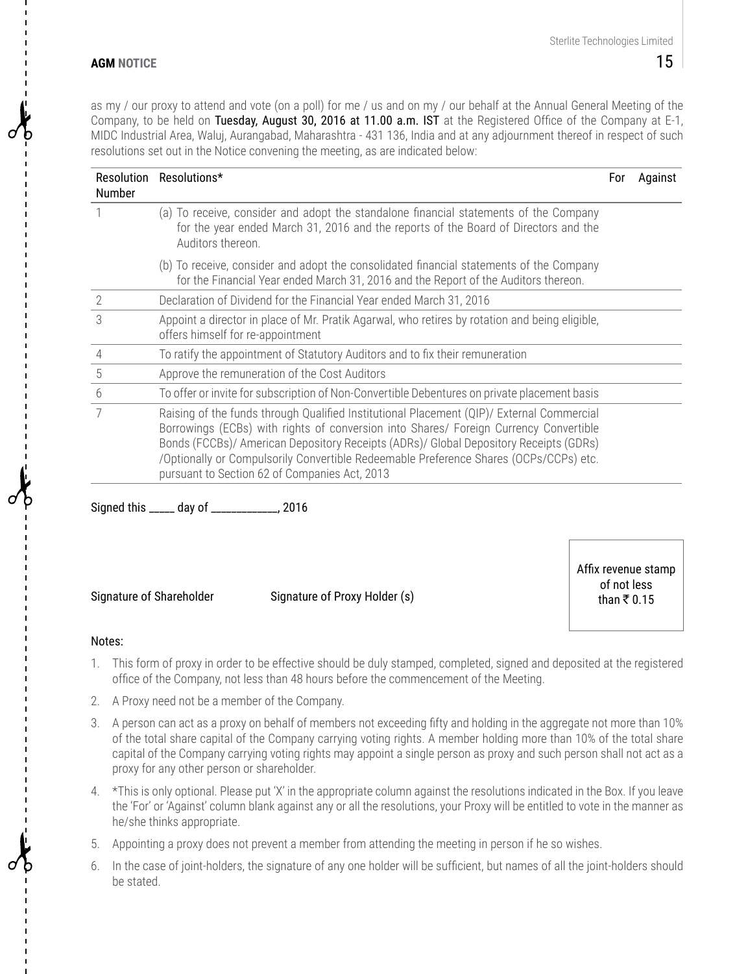as my / our proxy to attend and vote (on a poll) for me / us and on my / our behalf at the Annual General Meeting of the Company, to be held on Tuesday, August 30, 2016 at 11.00 a.m. IST at the Registered Office of the Company at E-1, MIDC Industrial Area, Waluj, Aurangabad, Maharashtra - 431 136, India and at any adjournment thereof in respect of such resolutions set out in the Notice convening the meeting, as are indicated below:

| Resolution<br>Number | Resolutions*                                                                                                                                                                                                                                                                                                                                                                                                          | For | Against |
|----------------------|-----------------------------------------------------------------------------------------------------------------------------------------------------------------------------------------------------------------------------------------------------------------------------------------------------------------------------------------------------------------------------------------------------------------------|-----|---------|
|                      | (a) To receive, consider and adopt the standalone financial statements of the Company<br>for the year ended March 31, 2016 and the reports of the Board of Directors and the<br>Auditors thereon.                                                                                                                                                                                                                     |     |         |
|                      | (b) To receive, consider and adopt the consolidated financial statements of the Company<br>for the Financial Year ended March 31, 2016 and the Report of the Auditors thereon.                                                                                                                                                                                                                                        |     |         |
| 2                    | Declaration of Dividend for the Financial Year ended March 31, 2016                                                                                                                                                                                                                                                                                                                                                   |     |         |
| 3                    | Appoint a director in place of Mr. Pratik Agarwal, who retires by rotation and being eligible,<br>offers himself for re-appointment                                                                                                                                                                                                                                                                                   |     |         |
| 4                    | To ratify the appointment of Statutory Auditors and to fix their remuneration                                                                                                                                                                                                                                                                                                                                         |     |         |
| 5                    | Approve the remuneration of the Cost Auditors                                                                                                                                                                                                                                                                                                                                                                         |     |         |
| 6                    | To offer or invite for subscription of Non-Convertible Debentures on private placement basis                                                                                                                                                                                                                                                                                                                          |     |         |
|                      | Raising of the funds through Qualified Institutional Placement (QIP)/ External Commercial<br>Borrowings (ECBs) with rights of conversion into Shares/ Foreign Currency Convertible<br>Bonds (FCCBs)/ American Depository Receipts (ADRs)/ Global Depository Receipts (GDRs)<br>/Optionally or Compulsorily Convertible Redeemable Preference Shares (OCPs/CCPs) etc.<br>pursuant to Section 62 of Companies Act, 2013 |     |         |

Signed this \_\_\_\_\_ day of \_\_\_\_\_\_\_\_\_\_\_\_\_, 2016

Signature of Shareholder Signature of Proxy Holder (s)

Affix revenue stamp of not less than  $\bar{x}$  0.15

#### Notes:

- 1. This form of proxy in order to be effective should be duly stamped, completed, signed and deposited at the registered office of the Company, not less than 48 hours before the commencement of the Meeting.
- 2. A Proxy need not be a member of the Company.
- 3. A person can act as a proxy on behalf of members not exceeding fifty and holding in the aggregate not more than 10% of the total share capital of the Company carrying voting rights. A member holding more than 10% of the total share capital of the Company carrying voting rights may appoint a single person as proxy and such person shall not act as a proxy for any other person or shareholder.
- 4. \*This is only optional. Please put 'X' in the appropriate column against the resolutions indicated in the Box. If you leave the 'For' or 'Against' column blank against any or all the resolutions, your Proxy will be entitled to vote in the manner as he/she thinks appropriate.
- 5. Appointing a proxy does not prevent a member from attending the meeting in person if he so wishes.
- 6. In the case of joint-holders, the signature of any one holder will be sufficient, but names of all the joint-holders should be stated.